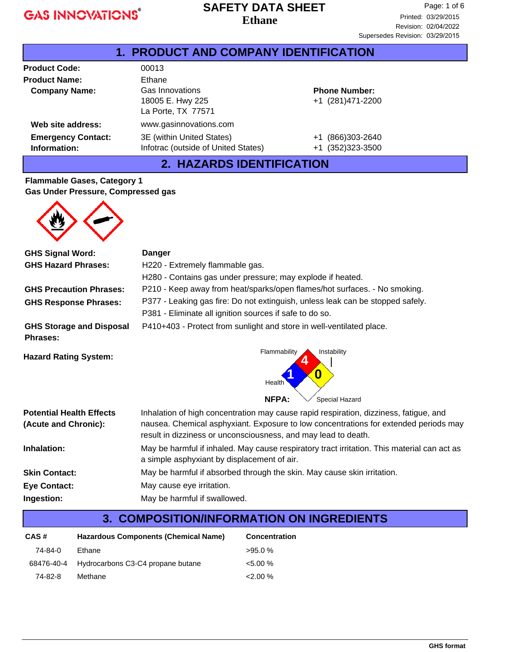#### **Ethane SAFETY DATA SHEET**

| <b>1. PRODUCT AND COMPANY IDENTIFICATION</b> |                                                                  |                                                |  |  |
|----------------------------------------------|------------------------------------------------------------------|------------------------------------------------|--|--|
| <b>Product Code:</b>                         | 00013                                                            |                                                |  |  |
| <b>Product Name:</b>                         | Ethane                                                           |                                                |  |  |
| <b>Company Name:</b>                         | Gas Innovations<br>18005 E. Hwy 225<br>La Porte, TX 77571        | <b>Phone Number:</b><br>+1 (281)471-2200       |  |  |
| Web site address:                            | www.gasinnovations.com                                           |                                                |  |  |
| <b>Emergency Contact:</b><br>Information:    | 3E (within United States)<br>Infotrac (outside of United States) | (866)303-2640<br>$+1$<br>(352)323-3500<br>$+1$ |  |  |

# **2. HAZARDS IDENTIFICATION**

#### **Flammable Gases, Category 1 Gas Under Pressure, Compressed gas**



| <b>GHS Signal Word:</b>                                 | <b>Danger</b>                                                                                                                                                                                                                                   |  |  |
|---------------------------------------------------------|-------------------------------------------------------------------------------------------------------------------------------------------------------------------------------------------------------------------------------------------------|--|--|
| <b>GHS Hazard Phrases:</b>                              | H220 - Extremely flammable gas.                                                                                                                                                                                                                 |  |  |
|                                                         | H280 - Contains gas under pressure; may explode if heated.                                                                                                                                                                                      |  |  |
| <b>GHS Precaution Phrases:</b>                          | P210 - Keep away from heat/sparks/open flames/hot surfaces. - No smoking.                                                                                                                                                                       |  |  |
| <b>GHS Response Phrases:</b>                            | P377 - Leaking gas fire: Do not extinguish, unless leak can be stopped safely.                                                                                                                                                                  |  |  |
|                                                         | P381 - Eliminate all ignition sources if safe to do so.                                                                                                                                                                                         |  |  |
| <b>GHS Storage and Disposal</b><br><b>Phrases:</b>      | P410+403 - Protect from sunlight and store in well-ventilated place.                                                                                                                                                                            |  |  |
|                                                         | Flammability<br>Instability                                                                                                                                                                                                                     |  |  |
| <b>Hazard Rating System:</b>                            | 0<br>Health                                                                                                                                                                                                                                     |  |  |
|                                                         | <b>NFPA:</b><br>Special Hazard                                                                                                                                                                                                                  |  |  |
| <b>Potential Health Effects</b><br>(Acute and Chronic): | Inhalation of high concentration may cause rapid respiration, dizziness, fatigue, and<br>nausea. Chemical asphyxiant. Exposure to low concentrations for extended periods may<br>result in dizziness or unconsciousness, and may lead to death. |  |  |
| Inhalation:                                             | May be harmful if inhaled. May cause respiratory tract irritation. This material can act as<br>a simple asphyxiant by displacement of air.                                                                                                      |  |  |
| <b>Skin Contact:</b>                                    | May be harmful if absorbed through the skin. May cause skin irritation.                                                                                                                                                                         |  |  |
| <b>Eye Contact:</b>                                     | May cause eye irritation.                                                                                                                                                                                                                       |  |  |
| Ingestion:                                              | May be harmful if swallowed.                                                                                                                                                                                                                    |  |  |

# **3. COMPOSITION/INFORMATION ON INGREDIENTS**

| Hazardous Components (Chemical Name)<br>CAS# |                                              | <b>Concentration</b> |
|----------------------------------------------|----------------------------------------------|----------------------|
| 74-84-0                                      | Ethane                                       | $>95.0\%$            |
|                                              | 68476-40-4 Hydrocarbons C3-C4 propane butane | $< 5.00 \%$          |
| 74-82-8                                      | Methane                                      | $2.00\%$             |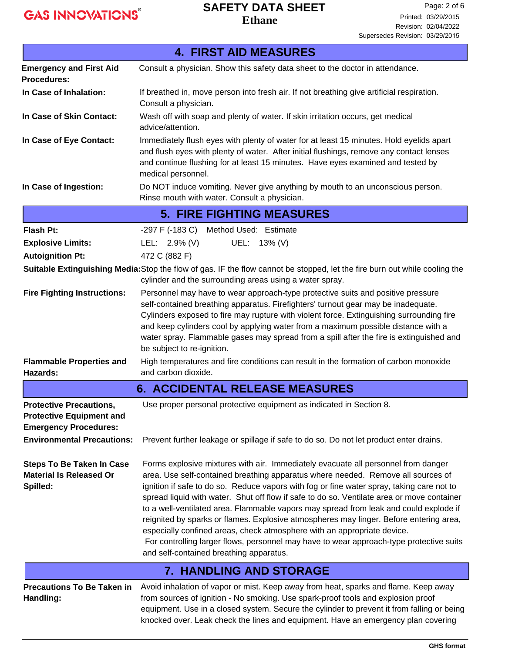## **Ethane SAFETY DATA SHEET**

|                                                                                                                                        | <b>4. FIRST AID MEASURES</b>                                                                                                                                                                                                                                                                                                                                                                                                                                                                                                                                                                                                                                                                                                                                         |
|----------------------------------------------------------------------------------------------------------------------------------------|----------------------------------------------------------------------------------------------------------------------------------------------------------------------------------------------------------------------------------------------------------------------------------------------------------------------------------------------------------------------------------------------------------------------------------------------------------------------------------------------------------------------------------------------------------------------------------------------------------------------------------------------------------------------------------------------------------------------------------------------------------------------|
| <b>Emergency and First Aid</b><br><b>Procedures:</b>                                                                                   | Consult a physician. Show this safety data sheet to the doctor in attendance.                                                                                                                                                                                                                                                                                                                                                                                                                                                                                                                                                                                                                                                                                        |
| In Case of Inhalation:                                                                                                                 | If breathed in, move person into fresh air. If not breathing give artificial respiration.<br>Consult a physician.                                                                                                                                                                                                                                                                                                                                                                                                                                                                                                                                                                                                                                                    |
| In Case of Skin Contact:                                                                                                               | Wash off with soap and plenty of water. If skin irritation occurs, get medical<br>advice/attention.                                                                                                                                                                                                                                                                                                                                                                                                                                                                                                                                                                                                                                                                  |
| In Case of Eye Contact:                                                                                                                | Immediately flush eyes with plenty of water for at least 15 minutes. Hold eyelids apart<br>and flush eyes with plenty of water. After initial flushings, remove any contact lenses<br>and continue flushing for at least 15 minutes. Have eyes examined and tested by<br>medical personnel.                                                                                                                                                                                                                                                                                                                                                                                                                                                                          |
| In Case of Ingestion:                                                                                                                  | Do NOT induce vomiting. Never give anything by mouth to an unconscious person.<br>Rinse mouth with water. Consult a physician.                                                                                                                                                                                                                                                                                                                                                                                                                                                                                                                                                                                                                                       |
|                                                                                                                                        | <b>5. FIRE FIGHTING MEASURES</b>                                                                                                                                                                                                                                                                                                                                                                                                                                                                                                                                                                                                                                                                                                                                     |
| <b>Flash Pt:</b>                                                                                                                       | -297 F (-183 C) Method Used: Estimate                                                                                                                                                                                                                                                                                                                                                                                                                                                                                                                                                                                                                                                                                                                                |
| <b>Explosive Limits:</b>                                                                                                               | LEL: $2.9\%$ (V)<br>UEL: 13% (V)                                                                                                                                                                                                                                                                                                                                                                                                                                                                                                                                                                                                                                                                                                                                     |
| <b>Autoignition Pt:</b>                                                                                                                | 472 C (882 F)                                                                                                                                                                                                                                                                                                                                                                                                                                                                                                                                                                                                                                                                                                                                                        |
|                                                                                                                                        | Suitable Extinguishing Media: Stop the flow of gas. IF the flow cannot be stopped, let the fire burn out while cooling the<br>cylinder and the surrounding areas using a water spray.                                                                                                                                                                                                                                                                                                                                                                                                                                                                                                                                                                                |
| <b>Fire Fighting Instructions:</b>                                                                                                     | Personnel may have to wear approach-type protective suits and positive pressure<br>self-contained breathing apparatus. Firefighters' turnout gear may be inadequate.<br>Cylinders exposed to fire may rupture with violent force. Extinguishing surrounding fire<br>and keep cylinders cool by applying water from a maximum possible distance with a<br>water spray. Flammable gases may spread from a spill after the fire is extinguished and<br>be subject to re-ignition.                                                                                                                                                                                                                                                                                       |
| <b>Flammable Properties and</b><br>Hazards:                                                                                            | High temperatures and fire conditions can result in the formation of carbon monoxide<br>and carbon dioxide.                                                                                                                                                                                                                                                                                                                                                                                                                                                                                                                                                                                                                                                          |
|                                                                                                                                        | <b>6. ACCIDENTAL RELEASE MEASURES</b>                                                                                                                                                                                                                                                                                                                                                                                                                                                                                                                                                                                                                                                                                                                                |
| <b>Protective Precautions,</b><br><b>Protective Equipment and</b><br><b>Emergency Procedures:</b><br><b>Environmental Precautions:</b> | Use proper personal protective equipment as indicated in Section 8.<br>Prevent further leakage or spillage if safe to do so. Do not let product enter drains.                                                                                                                                                                                                                                                                                                                                                                                                                                                                                                                                                                                                        |
| <b>Steps To Be Taken In Case</b><br><b>Material Is Released Or</b><br>Spilled:                                                         | Forms explosive mixtures with air. Immediately evacuate all personnel from danger<br>area. Use self-contained breathing apparatus where needed. Remove all sources of<br>ignition if safe to do so. Reduce vapors with fog or fine water spray, taking care not to<br>spread liquid with water. Shut off flow if safe to do so. Ventilate area or move container<br>to a well-ventilated area. Flammable vapors may spread from leak and could explode if<br>reignited by sparks or flames. Explosive atmospheres may linger. Before entering area,<br>especially confined areas, check atmosphere with an appropriate device.<br>For controlling larger flows, personnel may have to wear approach-type protective suits<br>and self-contained breathing apparatus. |
|                                                                                                                                        | <b>7. HANDLING AND STORAGE</b>                                                                                                                                                                                                                                                                                                                                                                                                                                                                                                                                                                                                                                                                                                                                       |
| <b>Precautions To Be Taken in</b><br>Handling:                                                                                         | Avoid inhalation of vapor or mist. Keep away from heat, sparks and flame. Keep away<br>from sources of ignition - No smoking. Use spark-proof tools and explosion proof<br>equipment. Use in a closed system. Secure the cylinder to prevent it from falling or being<br>knocked over. Leak check the lines and equipment. Have an emergency plan covering                                                                                                                                                                                                                                                                                                                                                                                                           |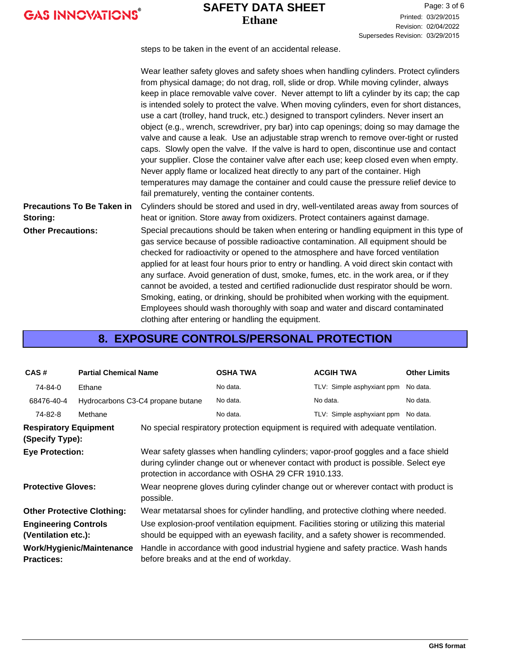# **Ethane SAFETY DATA SHEET**

Page: 3 of 6 Printed: 03/29/2015 Revision: 02/04/2022 Supersedes Revision: 03/29/2015

steps to be taken in the event of an accidental release.

|                                               | Wear leather safety gloves and safety shoes when handling cylinders. Protect cylinders<br>from physical damage; do not drag, roll, slide or drop. While moving cylinder, always<br>keep in place removable valve cover. Never attempt to lift a cylinder by its cap; the cap<br>is intended solely to protect the valve. When moving cylinders, even for short distances,<br>use a cart (trolley, hand truck, etc.) designed to transport cylinders. Never insert an<br>object (e.g., wrench, screwdriver, pry bar) into cap openings; doing so may damage the<br>valve and cause a leak. Use an adjustable strap wrench to remove over-tight or rusted<br>caps. Slowly open the valve. If the valve is hard to open, discontinue use and contact<br>your supplier. Close the container valve after each use; keep closed even when empty.<br>Never apply flame or localized heat directly to any part of the container. High<br>temperatures may damage the container and could cause the pressure relief device to<br>fail prematurely, venting the container contents. |
|-----------------------------------------------|---------------------------------------------------------------------------------------------------------------------------------------------------------------------------------------------------------------------------------------------------------------------------------------------------------------------------------------------------------------------------------------------------------------------------------------------------------------------------------------------------------------------------------------------------------------------------------------------------------------------------------------------------------------------------------------------------------------------------------------------------------------------------------------------------------------------------------------------------------------------------------------------------------------------------------------------------------------------------------------------------------------------------------------------------------------------------|
| <b>Precautions To Be Taken in</b><br>Storing: | Cylinders should be stored and used in dry, well-ventilated areas away from sources of<br>heat or ignition. Store away from oxidizers. Protect containers against damage.                                                                                                                                                                                                                                                                                                                                                                                                                                                                                                                                                                                                                                                                                                                                                                                                                                                                                                 |
| <b>Other Precautions:</b>                     | Special precautions should be taken when entering or handling equipment in this type of<br>gas service because of possible radioactive contamination. All equipment should be<br>checked for radioactivity or opened to the atmosphere and have forced ventilation<br>applied for at least four hours prior to entry or handling. A void direct skin contact with<br>any surface. Avoid generation of dust, smoke, fumes, etc. in the work area, or if they<br>cannot be avoided, a tested and certified radionuclide dust respirator should be worn.<br>Smoking, eating, or drinking, should be prohibited when working with the equipment.<br>Employees should wash thoroughly with soap and water and discard contaminated<br>clothing after entering or handling the equipment.                                                                                                                                                                                                                                                                                       |

# **8. EXPOSURE CONTROLS/PERSONAL PROTECTION**

| CAS#                                                                                                                                                                            | <b>Partial Chemical Name</b> |                                                                                                  | <b>OSHA TWA</b>                                                                                                                                                                                                                  | <b>ACGIH TWA</b>           | <b>Other Limits</b> |
|---------------------------------------------------------------------------------------------------------------------------------------------------------------------------------|------------------------------|--------------------------------------------------------------------------------------------------|----------------------------------------------------------------------------------------------------------------------------------------------------------------------------------------------------------------------------------|----------------------------|---------------------|
| 74-84-0                                                                                                                                                                         | Ethane                       |                                                                                                  | No data.                                                                                                                                                                                                                         | TLV: Simple asphyxiant ppm | No data.            |
| 68476-40-4                                                                                                                                                                      |                              | Hydrocarbons C3-C4 propane butane                                                                | No data.                                                                                                                                                                                                                         | No data.                   | No data.            |
| 74-82-8                                                                                                                                                                         | Methane                      |                                                                                                  | No data.                                                                                                                                                                                                                         | TLV: Simple asphyxiant ppm | No data.            |
| No special respiratory protection equipment is required with adequate ventilation.<br><b>Respiratory Equipment</b><br>(Specify Type):                                           |                              |                                                                                                  |                                                                                                                                                                                                                                  |                            |                     |
| <b>Eye Protection:</b>                                                                                                                                                          |                              |                                                                                                  | Wear safety glasses when handling cylinders; vapor-proof goggles and a face shield<br>during cylinder change out or whenever contact with product is possible. Select eye<br>protection in accordance with OSHA 29 CFR 1910.133. |                            |                     |
| <b>Protective Gloves:</b>                                                                                                                                                       |                              | Wear neoprene gloves during cylinder change out or wherever contact with product is<br>possible. |                                                                                                                                                                                                                                  |                            |                     |
| <b>Other Protective Clothing:</b>                                                                                                                                               |                              |                                                                                                  | Wear metatarsal shoes for cylinder handling, and protective clothing where needed.                                                                                                                                               |                            |                     |
| <b>Engineering Controls</b><br>(Ventilation etc.):                                                                                                                              |                              |                                                                                                  | Use explosion-proof ventilation equipment. Facilities storing or utilizing this material<br>should be equipped with an eyewash facility, and a safety shower is recommended.                                                     |                            |                     |
| Handle in accordance with good industrial hygiene and safety practice. Wash hands<br>Work/Hygienic/Maintenance<br>before breaks and at the end of workday.<br><b>Practices:</b> |                              |                                                                                                  |                                                                                                                                                                                                                                  |                            |                     |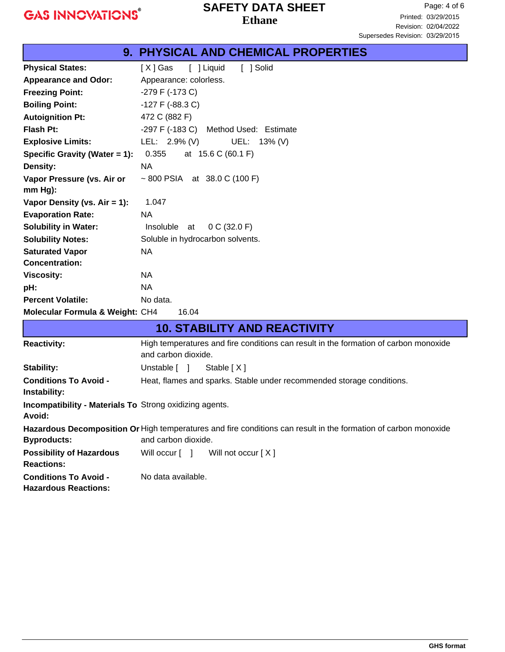**Incompatibility - Materials To** Strong oxidizing agents.

**Conditions To Avoid -** No data available.

and carbon dioxide.

**Possibility of Hazardous** Will occur  $[$  ] Will not occur  $[X]$ 

**Avoid:**

**Byproducts:**

**Reactions:**

**Hazardous Reactions:**

#### **Ethane SAFETY DATA SHEET**

|                                              | 9. PHYSICAL AND CHEMICAL PROPERTIES                                                                         |
|----------------------------------------------|-------------------------------------------------------------------------------------------------------------|
| <b>Physical States:</b>                      | [ ] Liquid<br>[ ] Solid<br>[X] Gas                                                                          |
| <b>Appearance and Odor:</b>                  | Appearance: colorless.                                                                                      |
| <b>Freezing Point:</b>                       | $-279$ F ( $-173$ C)                                                                                        |
| <b>Boiling Point:</b>                        | $-127$ F ( $-88.3$ C)                                                                                       |
| <b>Autoignition Pt:</b>                      | 472 C (882 F)                                                                                               |
| Flash Pt:                                    | $-297$ F $(-183$ C)<br>Method Used: Estimate                                                                |
| <b>Explosive Limits:</b>                     | LEL: $2.9\%$ (V)<br>UEL: 13% (V)                                                                            |
| Specific Gravity (Water = 1):                | 0.355<br>at 15.6 C (60.1 F)                                                                                 |
| <b>Density:</b>                              | <b>NA</b>                                                                                                   |
| Vapor Pressure (vs. Air or<br>$mm Hg$ ):     | ~800 PSIA at 38.0 C (100 F)                                                                                 |
| Vapor Density (vs. Air = 1):                 | 1.047                                                                                                       |
| <b>Evaporation Rate:</b>                     | <b>NA</b>                                                                                                   |
| <b>Solubility in Water:</b>                  | Insoluble at<br>0 C (32.0 F)                                                                                |
| <b>Solubility Notes:</b>                     | Soluble in hydrocarbon solvents.                                                                            |
| <b>Saturated Vapor</b>                       | <b>NA</b>                                                                                                   |
| <b>Concentration:</b>                        |                                                                                                             |
| <b>Viscosity:</b>                            | NA                                                                                                          |
| pH:                                          | NA                                                                                                          |
| <b>Percent Volatile:</b>                     | No data.                                                                                                    |
| Molecular Formula & Weight: CH4              | 16.04                                                                                                       |
|                                              | <b>10. STABILITY AND REACTIVITY</b>                                                                         |
| <b>Reactivity:</b>                           | High temperatures and fire conditions can result in the formation of carbon monoxide<br>and carbon dioxide. |
| Stability:                                   | Stable [X]<br>Unstable [ ]                                                                                  |
| <b>Conditions To Avoid -</b><br>Instability: | Heat, flames and sparks. Stable under recommended storage conditions.                                       |

Hazardous Decomposition Or High temperatures and fire conditions can result in the formation of carbon monoxide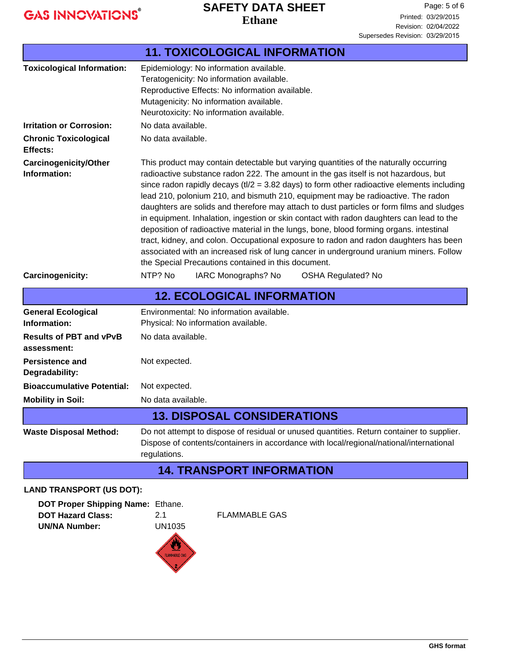#### **Ethane SAFETY DATA SHEET**

| <b>11. TOXICOLOGICAL INFORMATION</b>          |                                                                                                                                                                                                                                                                                                                                                                                                                                                                                                                                                                                                                                                                                                                                                                                                                                                                                                |  |  |
|-----------------------------------------------|------------------------------------------------------------------------------------------------------------------------------------------------------------------------------------------------------------------------------------------------------------------------------------------------------------------------------------------------------------------------------------------------------------------------------------------------------------------------------------------------------------------------------------------------------------------------------------------------------------------------------------------------------------------------------------------------------------------------------------------------------------------------------------------------------------------------------------------------------------------------------------------------|--|--|
| <b>Toxicological Information:</b>             | Epidemiology: No information available.<br>Teratogenicity: No information available.<br>Reproductive Effects: No information available.<br>Mutagenicity: No information available.<br>Neurotoxicity: No information available.                                                                                                                                                                                                                                                                                                                                                                                                                                                                                                                                                                                                                                                                 |  |  |
| <b>Irritation or Corrosion:</b>               | No data available.                                                                                                                                                                                                                                                                                                                                                                                                                                                                                                                                                                                                                                                                                                                                                                                                                                                                             |  |  |
| <b>Chronic Toxicological</b><br>Effects:      | No data available.                                                                                                                                                                                                                                                                                                                                                                                                                                                                                                                                                                                                                                                                                                                                                                                                                                                                             |  |  |
| <b>Carcinogenicity/Other</b><br>Information:  | This product may contain detectable but varying quantities of the naturally occurring<br>radioactive substance radon 222. The amount in the gas itself is not hazardous, but<br>since radon rapidly decays ( $t/2$ = 3.82 days) to form other radioactive elements including<br>lead 210, polonium 210, and bismuth 210, equipment may be radioactive. The radon<br>daughters are solids and therefore may attach to dust particles or form films and sludges<br>in equipment. Inhalation, ingestion or skin contact with radon daughters can lead to the<br>deposition of radioactive material in the lungs, bone, blood forming organs. intestinal<br>tract, kidney, and colon. Occupational exposure to radon and radon daughters has been<br>associated with an increased risk of lung cancer in underground uranium miners. Follow<br>the Special Precautions contained in this document. |  |  |
| Carcinogenicity:                              | NTP? No<br>IARC Monographs? No<br><b>OSHA Regulated? No</b>                                                                                                                                                                                                                                                                                                                                                                                                                                                                                                                                                                                                                                                                                                                                                                                                                                    |  |  |
|                                               | <b>12. ECOLOGICAL INFORMATION</b>                                                                                                                                                                                                                                                                                                                                                                                                                                                                                                                                                                                                                                                                                                                                                                                                                                                              |  |  |
| <b>General Ecological</b><br>Information:     | Environmental: No information available.<br>Physical: No information available.                                                                                                                                                                                                                                                                                                                                                                                                                                                                                                                                                                                                                                                                                                                                                                                                                |  |  |
| <b>Results of PBT and vPvB</b><br>assessment: | No data available.                                                                                                                                                                                                                                                                                                                                                                                                                                                                                                                                                                                                                                                                                                                                                                                                                                                                             |  |  |
| <b>Persistence and</b><br>Degradability:      | Not expected.                                                                                                                                                                                                                                                                                                                                                                                                                                                                                                                                                                                                                                                                                                                                                                                                                                                                                  |  |  |
| <b>Bioaccumulative Potential:</b>             | Not expected.                                                                                                                                                                                                                                                                                                                                                                                                                                                                                                                                                                                                                                                                                                                                                                                                                                                                                  |  |  |
| <b>Mobility in Soil:</b>                      | No data available.                                                                                                                                                                                                                                                                                                                                                                                                                                                                                                                                                                                                                                                                                                                                                                                                                                                                             |  |  |
|                                               | <b>13. DISPOSAL CONSIDERATIONS</b>                                                                                                                                                                                                                                                                                                                                                                                                                                                                                                                                                                                                                                                                                                                                                                                                                                                             |  |  |
| <b>Waste Disposal Method:</b>                 | Do not attempt to dispose of residual or unused quantities. Return container to supplier.<br>Dispose of contents/containers in accordance with local/regional/national/international<br>regulations.                                                                                                                                                                                                                                                                                                                                                                                                                                                                                                                                                                                                                                                                                           |  |  |
|                                               | <b>14. TRANSPORT INFORMATION</b>                                                                                                                                                                                                                                                                                                                                                                                                                                                                                                                                                                                                                                                                                                                                                                                                                                                               |  |  |
|                                               |                                                                                                                                                                                                                                                                                                                                                                                                                                                                                                                                                                                                                                                                                                                                                                                                                                                                                                |  |  |

#### **LAND TRANSPORT (US DOT):**

| <b>DOT Proper Shipping Name: Ethane.</b> |               |
|------------------------------------------|---------------|
| <b>DOT Hazard Class:</b>                 | 2.1           |
| <b>UN/NA Number:</b>                     | <b>UN1035</b> |



**FLAMMABLE GAS**